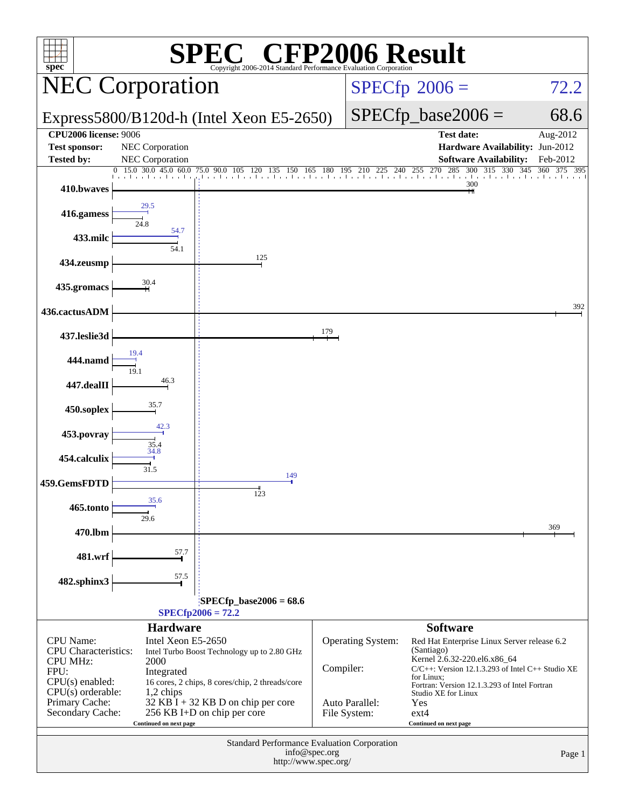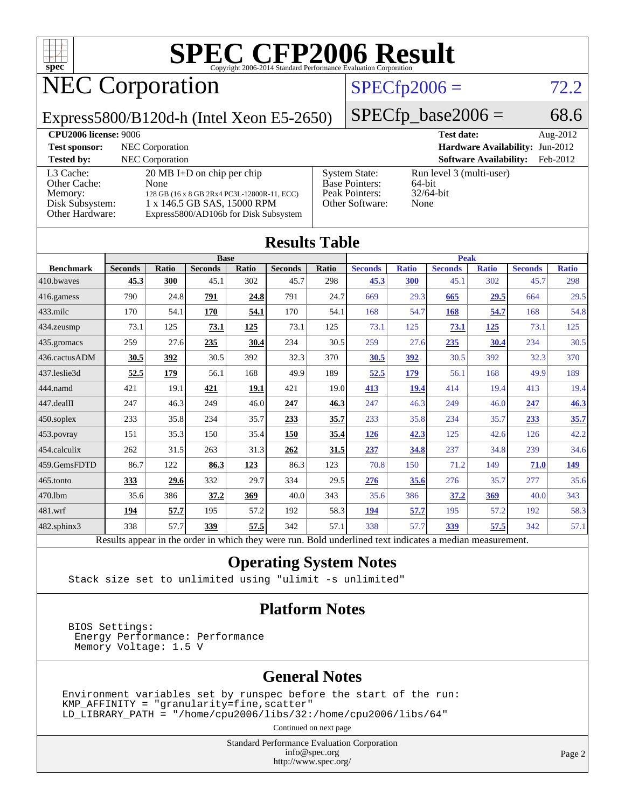

# NEC Corporation

### $SPECfp2006 = 72.2$  $SPECfp2006 = 72.2$

Express5800/B120d-h (Intel Xeon E5-2650)

 $SPECfp\_base2006 = 68.6$ 

| <b>CPU2006 license: 9006</b> |                                             |                       | <b>Test date:</b>               | Aug- $2012$ |
|------------------------------|---------------------------------------------|-----------------------|---------------------------------|-------------|
| <b>Test sponsor:</b>         | NEC Corporation                             |                       | Hardware Availability: Jun-2012 |             |
| <b>Tested by:</b>            | <b>NEC</b> Corporation                      |                       | <b>Software Availability:</b>   | Feb-2012    |
| L3 Cache:                    | $20 \text{ MB I+D}$ on chip per chip        | <b>System State:</b>  | Run level 3 (multi-user)        |             |
| Other Cache:                 | None                                        | <b>Base Pointers:</b> | 64-bit                          |             |
| Memory:                      | 128 GB (16 x 8 GB 2Rx4 PC3L-12800R-11, ECC) | Peak Pointers:        | $32/64$ -bit                    |             |
| Disk Subsystem:              | 1 x 146.5 GB SAS, 15000 RPM                 | Other Software:       | None                            |             |
| Other Hardware:              | Express5800/AD106b for Disk Subsystem       |                       |                                 |             |

| <b>Results Table</b> |                                                                                                          |       |                |             |                |              |                |              |                |              |                |              |
|----------------------|----------------------------------------------------------------------------------------------------------|-------|----------------|-------------|----------------|--------------|----------------|--------------|----------------|--------------|----------------|--------------|
|                      | <b>Base</b>                                                                                              |       |                | <b>Peak</b> |                |              |                |              |                |              |                |              |
| <b>Benchmark</b>     | <b>Seconds</b>                                                                                           | Ratio | <b>Seconds</b> | Ratio       | <b>Seconds</b> | <b>Ratio</b> | <b>Seconds</b> | <b>Ratio</b> | <b>Seconds</b> | <b>Ratio</b> | <b>Seconds</b> | <b>Ratio</b> |
| 410.bwayes           | 45.3                                                                                                     | 300   | 45.1           | 302         | 45.7           | 298          | 45.3           | 300          | 45.1           | 302          | 45.7           | 298          |
| 416.gamess           | 790                                                                                                      | 24.8  | 791            | 24.8        | 791            | 24.7         | 669            | 29.3         | 665            | 29.5         | 664            | 29.5         |
| 433.milc             | 170                                                                                                      | 54.1  | 170            | 54.1        | 170            | 54.1         | 168            | 54.7         | 168            | 54.7         | 168            | 54.8         |
| 434.zeusmp           | 73.1                                                                                                     | 125   | 73.1           | 125         | 73.1           | 125          | 73.1           | 125          | 73.1           | 125          | 73.1           | 125          |
| 435.gromacs          | 259                                                                                                      | 27.6  | 235            | 30.4        | 234            | 30.5         | 259            | 27.6         | 235            | 30.4         | 234            | 30.5         |
| 436.cactusADM        | 30.5                                                                                                     | 392   | 30.5           | 392         | 32.3           | 370          | 30.5           | <u>392</u>   | 30.5           | 392          | 32.3           | 370          |
| 437.leslie3d         | 52.5                                                                                                     | 179   | 56.1           | 168         | 49.9           | 189          | 52.5           | 179          | 56.1           | 168          | 49.9           | 189          |
| 444.namd             | 421                                                                                                      | 19.1  | 421            | <u>19.1</u> | 421            | 19.0         | 413            | 19.4         | 414            | 19.4         | 413            | 19.4         |
| 447.dealII           | 247                                                                                                      | 46.3  | 249            | 46.0        | 247            | 46.3         | 247            | 46.3         | 249            | 46.0         | 247            | 46.3         |
| 450.soplex           | 233                                                                                                      | 35.8  | 234            | 35.7        | 233            | 35.7         | 233            | 35.8         | 234            | 35.7         | 233            | 35.7         |
| 453.povray           | 151                                                                                                      | 35.3  | 150            | 35.4        | 150            | 35.4         | 126            | 42.3         | 125            | 42.6         | 126            | 42.2         |
| 454.calculix         | 262                                                                                                      | 31.5  | 263            | 31.3        | 262            | 31.5         | 237            | 34.8         | 237            | 34.8         | 239            | 34.6         |
| 459.GemsFDTD         | 86.7                                                                                                     | 122   | 86.3           | 123         | 86.3           | 123          | 70.8           | 150          | 71.2           | 149          | 71.0           | 149          |
| 465.tonto            | 333                                                                                                      | 29.6  | 332            | 29.7        | 334            | 29.5         | 276            | 35.6         | 276            | 35.7         | 277            | 35.6         |
| 470.1bm              | 35.6                                                                                                     | 386   | 37.2           | 369         | 40.0           | 343          | 35.6           | 386          | 37.2           | 369          | 40.0           | 343          |
| 481.wrf              | 194                                                                                                      | 57.7  | 195            | 57.2        | 192            | 58.3         | 194            | 57.7         | 195            | 57.2         | 192            | 58.3         |
| 482.sphinx3          | 338                                                                                                      | 57.7  | 339            | 57.5        | 342            | 57.1         | 338            | 57.7         | 339            | 57.5         | 342            | 57.1         |
|                      | Results appear in the order in which they were run. Bold underlined text indicates a median measurement. |       |                |             |                |              |                |              |                |              |                |              |

### **[Operating System Notes](http://www.spec.org/auto/cpu2006/Docs/result-fields.html#OperatingSystemNotes)**

Stack size set to unlimited using "ulimit -s unlimited"

### **[Platform Notes](http://www.spec.org/auto/cpu2006/Docs/result-fields.html#PlatformNotes)**

 BIOS Settings: Energy Performance: Performance Memory Voltage: 1.5 V

### **[General Notes](http://www.spec.org/auto/cpu2006/Docs/result-fields.html#GeneralNotes)**

Environment variables set by runspec before the start of the run:  $KMP_AFFINITY = "granularity=fine, scatter"$ LD\_LIBRARY\_PATH = "/home/cpu2006/libs/32:/home/cpu2006/libs/64"

Continued on next page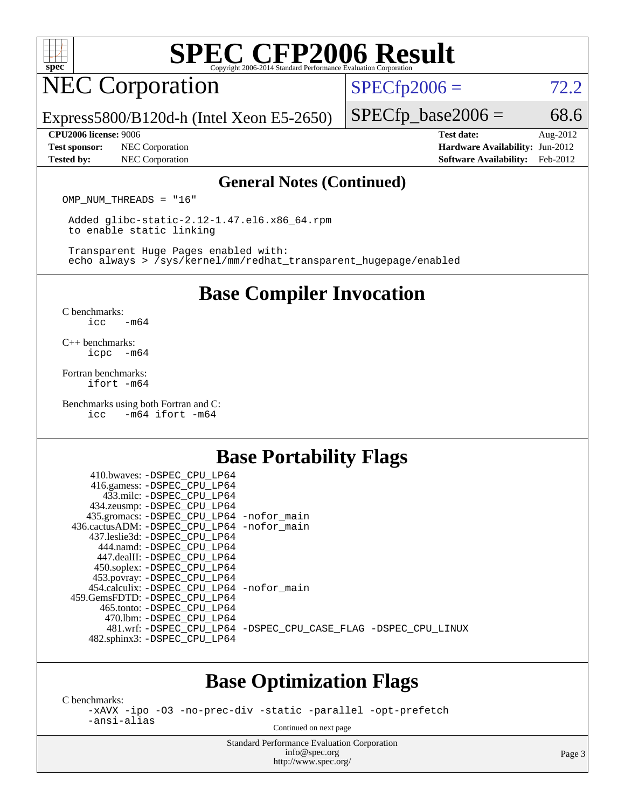

## NEC Corporation

 $SPECTp2006 = 72.2$ 

Express5800/B120d-h (Intel Xeon E5-2650)

**[Test sponsor:](http://www.spec.org/auto/cpu2006/Docs/result-fields.html#Testsponsor)** NEC Corporation **[Hardware Availability:](http://www.spec.org/auto/cpu2006/Docs/result-fields.html#HardwareAvailability)** Jun-2012

 $SPECTp\_base2006 = 68.6$ 

**[CPU2006 license:](http://www.spec.org/auto/cpu2006/Docs/result-fields.html#CPU2006license)** 9006 **[Test date:](http://www.spec.org/auto/cpu2006/Docs/result-fields.html#Testdate)** Aug-2012 **[Tested by:](http://www.spec.org/auto/cpu2006/Docs/result-fields.html#Testedby)** NEC Corporation **[Software Availability:](http://www.spec.org/auto/cpu2006/Docs/result-fields.html#SoftwareAvailability)** Feb-2012

#### **[General Notes \(Continued\)](http://www.spec.org/auto/cpu2006/Docs/result-fields.html#GeneralNotes)**

OMP NUM THREADS = "16"

 Added glibc-static-2.12-1.47.el6.x86\_64.rpm to enable static linking

 Transparent Huge Pages enabled with: echo always > /sys/kernel/mm/redhat\_transparent\_hugepage/enabled

### **[Base Compiler Invocation](http://www.spec.org/auto/cpu2006/Docs/result-fields.html#BaseCompilerInvocation)**

[C benchmarks](http://www.spec.org/auto/cpu2006/Docs/result-fields.html#Cbenchmarks): [icc -m64](http://www.spec.org/cpu2006/results/res2012q3/cpu2006-20120802-24031.flags.html#user_CCbase_intel_icc_64bit_0b7121f5ab7cfabee23d88897260401c)

[C++ benchmarks:](http://www.spec.org/auto/cpu2006/Docs/result-fields.html#CXXbenchmarks) [icpc -m64](http://www.spec.org/cpu2006/results/res2012q3/cpu2006-20120802-24031.flags.html#user_CXXbase_intel_icpc_64bit_bedb90c1146cab66620883ef4f41a67e)

[Fortran benchmarks](http://www.spec.org/auto/cpu2006/Docs/result-fields.html#Fortranbenchmarks): [ifort -m64](http://www.spec.org/cpu2006/results/res2012q3/cpu2006-20120802-24031.flags.html#user_FCbase_intel_ifort_64bit_ee9d0fb25645d0210d97eb0527dcc06e)

[Benchmarks using both Fortran and C](http://www.spec.org/auto/cpu2006/Docs/result-fields.html#BenchmarksusingbothFortranandC): [icc -m64](http://www.spec.org/cpu2006/results/res2012q3/cpu2006-20120802-24031.flags.html#user_CC_FCbase_intel_icc_64bit_0b7121f5ab7cfabee23d88897260401c) [ifort -m64](http://www.spec.org/cpu2006/results/res2012q3/cpu2006-20120802-24031.flags.html#user_CC_FCbase_intel_ifort_64bit_ee9d0fb25645d0210d97eb0527dcc06e)

### **[Base Portability Flags](http://www.spec.org/auto/cpu2006/Docs/result-fields.html#BasePortabilityFlags)**

| 410.bwaves: -DSPEC CPU LP64                 |                                                                |
|---------------------------------------------|----------------------------------------------------------------|
| 416.gamess: - DSPEC_CPU_LP64                |                                                                |
| 433.milc: -DSPEC CPU LP64                   |                                                                |
| 434.zeusmp: -DSPEC_CPU_LP64                 |                                                                |
| 435.gromacs: -DSPEC_CPU_LP64 -nofor_main    |                                                                |
| 436.cactusADM: -DSPEC CPU LP64 -nofor main  |                                                                |
| 437.leslie3d: -DSPEC CPU LP64               |                                                                |
| 444.namd: -DSPEC CPU LP64                   |                                                                |
| 447.dealII: -DSPEC CPU LP64                 |                                                                |
| 450.soplex: -DSPEC_CPU_LP64                 |                                                                |
| 453.povray: -DSPEC_CPU_LP64                 |                                                                |
| 454.calculix: - DSPEC CPU LP64 - nofor main |                                                                |
| 459.GemsFDTD: -DSPEC CPU LP64               |                                                                |
| 465.tonto: -DSPEC CPU LP64                  |                                                                |
| 470.1bm: - DSPEC CPU LP64                   |                                                                |
|                                             | 481.wrf: -DSPEC CPU_LP64 -DSPEC_CPU_CASE_FLAG -DSPEC_CPU_LINUX |
| 482.sphinx3: -DSPEC_CPU_LP64                |                                                                |
|                                             |                                                                |

### **[Base Optimization Flags](http://www.spec.org/auto/cpu2006/Docs/result-fields.html#BaseOptimizationFlags)**

[C benchmarks](http://www.spec.org/auto/cpu2006/Docs/result-fields.html#Cbenchmarks):

[-xAVX](http://www.spec.org/cpu2006/results/res2012q3/cpu2006-20120802-24031.flags.html#user_CCbase_f-xAVX) [-ipo](http://www.spec.org/cpu2006/results/res2012q3/cpu2006-20120802-24031.flags.html#user_CCbase_f-ipo) [-O3](http://www.spec.org/cpu2006/results/res2012q3/cpu2006-20120802-24031.flags.html#user_CCbase_f-O3) [-no-prec-div](http://www.spec.org/cpu2006/results/res2012q3/cpu2006-20120802-24031.flags.html#user_CCbase_f-no-prec-div) [-static](http://www.spec.org/cpu2006/results/res2012q3/cpu2006-20120802-24031.flags.html#user_CCbase_f-static) [-parallel](http://www.spec.org/cpu2006/results/res2012q3/cpu2006-20120802-24031.flags.html#user_CCbase_f-parallel) [-opt-prefetch](http://www.spec.org/cpu2006/results/res2012q3/cpu2006-20120802-24031.flags.html#user_CCbase_f-opt-prefetch) [-ansi-alias](http://www.spec.org/cpu2006/results/res2012q3/cpu2006-20120802-24031.flags.html#user_CCbase_f-ansi-alias)

Continued on next page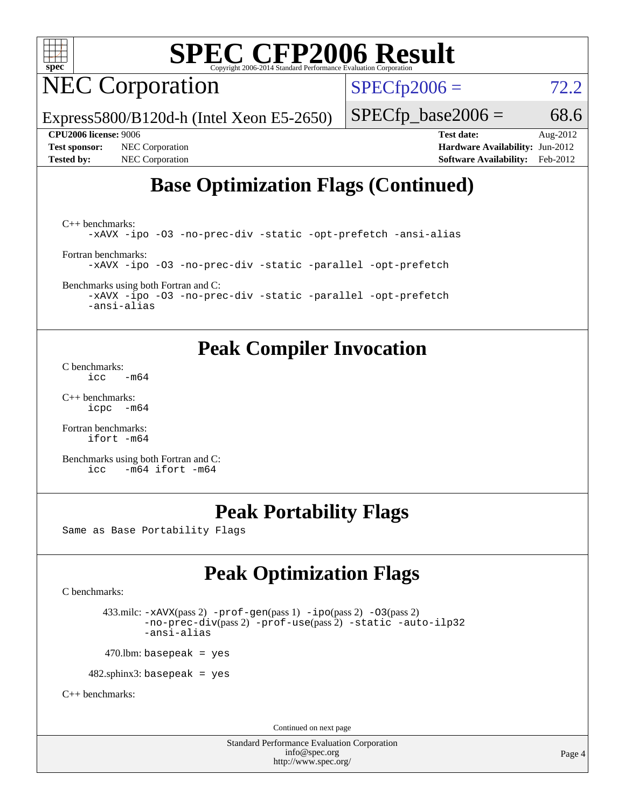

## NEC Corporation

 $SPECTp2006 = 72.2$ 

Express5800/B120d-h (Intel Xeon E5-2650)

 $SPECTp\_base2006 = 68.6$ 

**[CPU2006 license:](http://www.spec.org/auto/cpu2006/Docs/result-fields.html#CPU2006license)** 9006 **[Test date:](http://www.spec.org/auto/cpu2006/Docs/result-fields.html#Testdate)** Aug-2012 **[Test sponsor:](http://www.spec.org/auto/cpu2006/Docs/result-fields.html#Testsponsor)** NEC Corporation **[Hardware Availability:](http://www.spec.org/auto/cpu2006/Docs/result-fields.html#HardwareAvailability)** Jun-2012 **[Tested by:](http://www.spec.org/auto/cpu2006/Docs/result-fields.html#Testedby)** NEC Corporation **[Software Availability:](http://www.spec.org/auto/cpu2006/Docs/result-fields.html#SoftwareAvailability)** Feb-2012

### **[Base Optimization Flags \(Continued\)](http://www.spec.org/auto/cpu2006/Docs/result-fields.html#BaseOptimizationFlags)**

[C++ benchmarks:](http://www.spec.org/auto/cpu2006/Docs/result-fields.html#CXXbenchmarks) [-xAVX](http://www.spec.org/cpu2006/results/res2012q3/cpu2006-20120802-24031.flags.html#user_CXXbase_f-xAVX) [-ipo](http://www.spec.org/cpu2006/results/res2012q3/cpu2006-20120802-24031.flags.html#user_CXXbase_f-ipo) [-O3](http://www.spec.org/cpu2006/results/res2012q3/cpu2006-20120802-24031.flags.html#user_CXXbase_f-O3) [-no-prec-div](http://www.spec.org/cpu2006/results/res2012q3/cpu2006-20120802-24031.flags.html#user_CXXbase_f-no-prec-div) [-static](http://www.spec.org/cpu2006/results/res2012q3/cpu2006-20120802-24031.flags.html#user_CXXbase_f-static) [-opt-prefetch](http://www.spec.org/cpu2006/results/res2012q3/cpu2006-20120802-24031.flags.html#user_CXXbase_f-opt-prefetch) [-ansi-alias](http://www.spec.org/cpu2006/results/res2012q3/cpu2006-20120802-24031.flags.html#user_CXXbase_f-ansi-alias) [Fortran benchmarks](http://www.spec.org/auto/cpu2006/Docs/result-fields.html#Fortranbenchmarks): [-xAVX](http://www.spec.org/cpu2006/results/res2012q3/cpu2006-20120802-24031.flags.html#user_FCbase_f-xAVX) [-ipo](http://www.spec.org/cpu2006/results/res2012q3/cpu2006-20120802-24031.flags.html#user_FCbase_f-ipo) [-O3](http://www.spec.org/cpu2006/results/res2012q3/cpu2006-20120802-24031.flags.html#user_FCbase_f-O3) [-no-prec-div](http://www.spec.org/cpu2006/results/res2012q3/cpu2006-20120802-24031.flags.html#user_FCbase_f-no-prec-div) [-static](http://www.spec.org/cpu2006/results/res2012q3/cpu2006-20120802-24031.flags.html#user_FCbase_f-static) [-parallel](http://www.spec.org/cpu2006/results/res2012q3/cpu2006-20120802-24031.flags.html#user_FCbase_f-parallel) [-opt-prefetch](http://www.spec.org/cpu2006/results/res2012q3/cpu2006-20120802-24031.flags.html#user_FCbase_f-opt-prefetch)

[Benchmarks using both Fortran and C](http://www.spec.org/auto/cpu2006/Docs/result-fields.html#BenchmarksusingbothFortranandC):

[-xAVX](http://www.spec.org/cpu2006/results/res2012q3/cpu2006-20120802-24031.flags.html#user_CC_FCbase_f-xAVX) [-ipo](http://www.spec.org/cpu2006/results/res2012q3/cpu2006-20120802-24031.flags.html#user_CC_FCbase_f-ipo) [-O3](http://www.spec.org/cpu2006/results/res2012q3/cpu2006-20120802-24031.flags.html#user_CC_FCbase_f-O3) [-no-prec-div](http://www.spec.org/cpu2006/results/res2012q3/cpu2006-20120802-24031.flags.html#user_CC_FCbase_f-no-prec-div) [-static](http://www.spec.org/cpu2006/results/res2012q3/cpu2006-20120802-24031.flags.html#user_CC_FCbase_f-static) [-parallel](http://www.spec.org/cpu2006/results/res2012q3/cpu2006-20120802-24031.flags.html#user_CC_FCbase_f-parallel) [-opt-prefetch](http://www.spec.org/cpu2006/results/res2012q3/cpu2006-20120802-24031.flags.html#user_CC_FCbase_f-opt-prefetch) [-ansi-alias](http://www.spec.org/cpu2006/results/res2012q3/cpu2006-20120802-24031.flags.html#user_CC_FCbase_f-ansi-alias)

### **[Peak Compiler Invocation](http://www.spec.org/auto/cpu2006/Docs/result-fields.html#PeakCompilerInvocation)**

[C benchmarks](http://www.spec.org/auto/cpu2006/Docs/result-fields.html#Cbenchmarks):  $\text{icc}$   $-\text{m64}$ 

[C++ benchmarks:](http://www.spec.org/auto/cpu2006/Docs/result-fields.html#CXXbenchmarks) [icpc -m64](http://www.spec.org/cpu2006/results/res2012q3/cpu2006-20120802-24031.flags.html#user_CXXpeak_intel_icpc_64bit_bedb90c1146cab66620883ef4f41a67e)

[Fortran benchmarks](http://www.spec.org/auto/cpu2006/Docs/result-fields.html#Fortranbenchmarks): [ifort -m64](http://www.spec.org/cpu2006/results/res2012q3/cpu2006-20120802-24031.flags.html#user_FCpeak_intel_ifort_64bit_ee9d0fb25645d0210d97eb0527dcc06e)

[Benchmarks using both Fortran and C](http://www.spec.org/auto/cpu2006/Docs/result-fields.html#BenchmarksusingbothFortranandC): [icc -m64](http://www.spec.org/cpu2006/results/res2012q3/cpu2006-20120802-24031.flags.html#user_CC_FCpeak_intel_icc_64bit_0b7121f5ab7cfabee23d88897260401c) [ifort -m64](http://www.spec.org/cpu2006/results/res2012q3/cpu2006-20120802-24031.flags.html#user_CC_FCpeak_intel_ifort_64bit_ee9d0fb25645d0210d97eb0527dcc06e)

### **[Peak Portability Flags](http://www.spec.org/auto/cpu2006/Docs/result-fields.html#PeakPortabilityFlags)**

Same as Base Portability Flags

### **[Peak Optimization Flags](http://www.spec.org/auto/cpu2006/Docs/result-fields.html#PeakOptimizationFlags)**

[C benchmarks](http://www.spec.org/auto/cpu2006/Docs/result-fields.html#Cbenchmarks):

 433.milc: [-xAVX](http://www.spec.org/cpu2006/results/res2012q3/cpu2006-20120802-24031.flags.html#user_peakPASS2_CFLAGSPASS2_LDFLAGS433_milc_f-xAVX)(pass 2) [-prof-gen](http://www.spec.org/cpu2006/results/res2012q3/cpu2006-20120802-24031.flags.html#user_peakPASS1_CFLAGSPASS1_LDFLAGS433_milc_prof_gen_e43856698f6ca7b7e442dfd80e94a8fc)(pass 1) [-ipo](http://www.spec.org/cpu2006/results/res2012q3/cpu2006-20120802-24031.flags.html#user_peakPASS2_CFLAGSPASS2_LDFLAGS433_milc_f-ipo)(pass 2) [-O3](http://www.spec.org/cpu2006/results/res2012q3/cpu2006-20120802-24031.flags.html#user_peakPASS2_CFLAGSPASS2_LDFLAGS433_milc_f-O3)(pass 2) [-no-prec-div](http://www.spec.org/cpu2006/results/res2012q3/cpu2006-20120802-24031.flags.html#user_peakPASS2_CFLAGSPASS2_LDFLAGS433_milc_f-no-prec-div)(pass 2) [-prof-use](http://www.spec.org/cpu2006/results/res2012q3/cpu2006-20120802-24031.flags.html#user_peakPASS2_CFLAGSPASS2_LDFLAGS433_milc_prof_use_bccf7792157ff70d64e32fe3e1250b55)(pass 2) [-static](http://www.spec.org/cpu2006/results/res2012q3/cpu2006-20120802-24031.flags.html#user_peakOPTIMIZE433_milc_f-static) [-auto-ilp32](http://www.spec.org/cpu2006/results/res2012q3/cpu2006-20120802-24031.flags.html#user_peakCOPTIMIZE433_milc_f-auto-ilp32) [-ansi-alias](http://www.spec.org/cpu2006/results/res2012q3/cpu2006-20120802-24031.flags.html#user_peakCOPTIMIZE433_milc_f-ansi-alias)

 $470.$ lbm: basepeak = yes

482.sphinx3: basepeak = yes

[C++ benchmarks:](http://www.spec.org/auto/cpu2006/Docs/result-fields.html#CXXbenchmarks)

Continued on next page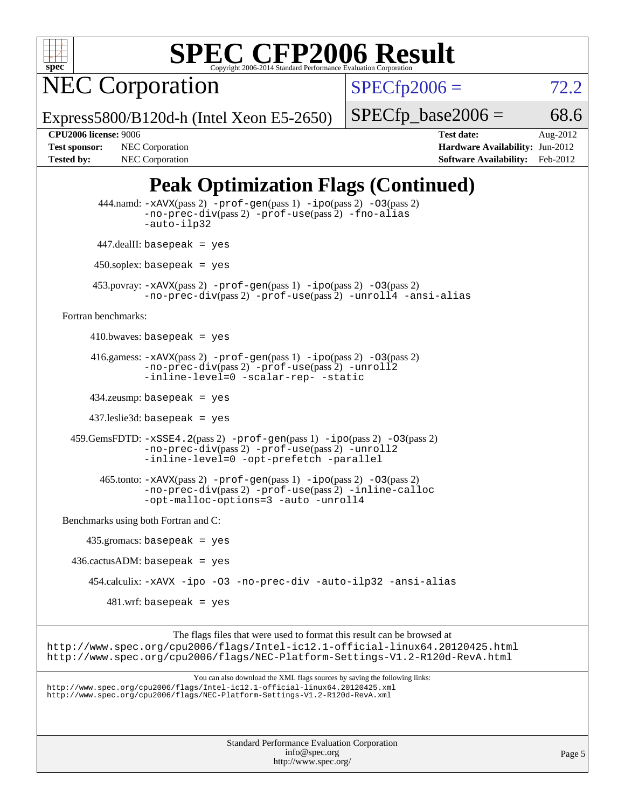

NEC Corporation

 $SPECfp2006 = 72.2$  $SPECfp2006 = 72.2$ 

Express5800/B120d-h (Intel Xeon E5-2650)

 $SPECTp\_base2006 = 68.6$ 

Page 5

**[CPU2006 license:](http://www.spec.org/auto/cpu2006/Docs/result-fields.html#CPU2006license)** 9006 **[Test date:](http://www.spec.org/auto/cpu2006/Docs/result-fields.html#Testdate)** Aug-2012 **[Test sponsor:](http://www.spec.org/auto/cpu2006/Docs/result-fields.html#Testsponsor)** NEC Corporation **[Hardware Availability:](http://www.spec.org/auto/cpu2006/Docs/result-fields.html#HardwareAvailability)** Jun-2012 **[Tested by:](http://www.spec.org/auto/cpu2006/Docs/result-fields.html#Testedby)** NEC Corporation **[Software Availability:](http://www.spec.org/auto/cpu2006/Docs/result-fields.html#SoftwareAvailability)** Feb-2012

### **[Peak Optimization Flags \(Continued\)](http://www.spec.org/auto/cpu2006/Docs/result-fields.html#PeakOptimizationFlags)**

```
Standard Performance Evaluation Corporation
           444.namd: -xAVX(pass 2) -prof-gen(pass 1) -ipo(pass 2) -O3(pass 2)
                   -no-prec-div(pass 2) -prof-use(pass 2) -fno-alias
                   -auto-ilp32
           447.dealII: basepeak = yes
          450.soplex: basepeak = yes
          453.povray: -xAVX(pass 2) -prof-gen(pass 1) -ipo(pass 2) -O3(pass 2)
                   -no-prec-div(pass 2) -prof-use(pass 2) -unroll4 -ansi-alias
   Fortran benchmarks: 
         410.bwaves: basepeak = yes
        416.gamess: -xAVX(pass 2) -prof-gen(pass 1) -ipo(pass 2) -O3(pass 2)
                   -no-prec-div(pass 2) -prof-use(pass 2) -unroll2
                   -inline-level=0 -scalar-rep- -static
         434.zeusmp: basepeak = yes
         437.leslie3d: basepeak = yes
     459.GemsFDTD: -xSSE4.2(pass 2) -prof-gen(pass 1) -ipo(pass 2) -O3(pass 2)
                   -no-prec-div(pass 2) -prof-use(pass 2) -unroll2
                   -inline-level=0 -opt-prefetch -parallel
          465.tonto: -xAVX(pass 2) -prof-gen(pass 1) -po(pass 2) -03(pass 2)
                   -no-prec-div(pass 2) -prof-use(pass 2) -inline-calloc
                   -opt-malloc-options=3 -auto -unroll4
   Benchmarks using both Fortran and C: 
        435.gromacs: basepeak = yes
     436.cactusADM: basepeak = yes
         454.calculix: -xAVX -ipo -O3 -no-prec-div -auto-ilp32 -ansi-alias
            481.wrf: basepeak = yes
                         The flags files that were used to format this result can be browsed at
http://www.spec.org/cpu2006/flags/Intel-ic12.1-official-linux64.20120425.html
http://www.spec.org/cpu2006/flags/NEC-Platform-Settings-V1.2-R120d-RevA.html
                             You can also download the XML flags sources by saving the following links:
http://www.spec.org/cpu2006/flags/Intel-ic12.1-official-linux64.20120425.xml
http://www.spec.org/cpu2006/flags/NEC-Platform-Settings-V1.2-R120d-RevA.xml
```
[info@spec.org](mailto:info@spec.org) <http://www.spec.org/>